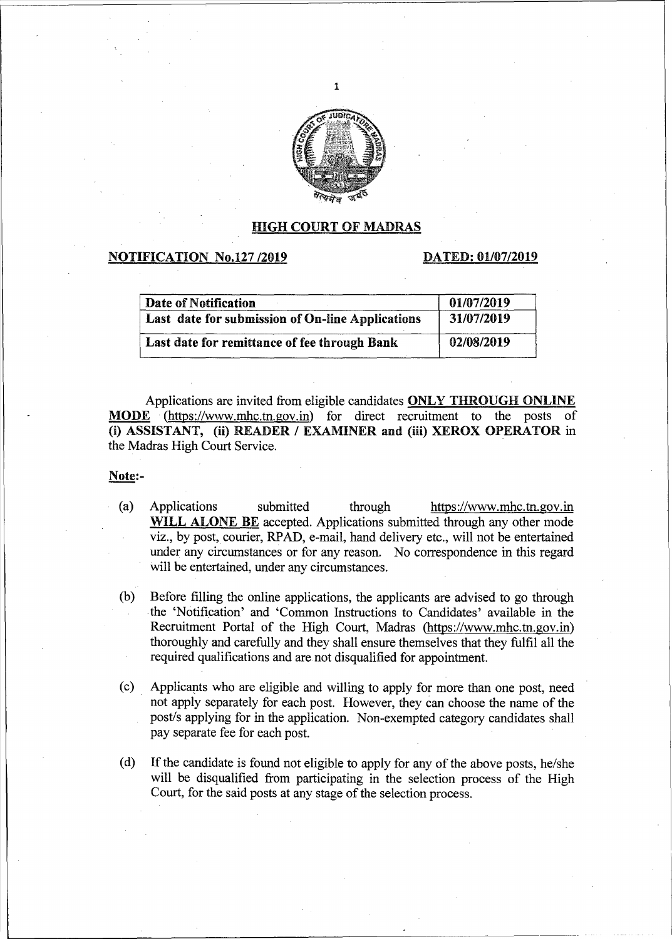

1

#### HIGH COURT OF MADRAS

#### **NOTIFICATION No.127 /2019 DATED: 01/07/2019**

| Date of Notification                             | 01/07/2019 |
|--------------------------------------------------|------------|
| Last date for submission of On-line Applications | 31/07/2019 |
| Last date for remittance of fee through Bank     | 02/08/2019 |

Applications are invited from eligible candidates ONLY THROUGH ONLINE MODE (https://www.mhc.tn.gov.in) for direct recruitment to the posts (i) ASSISTANT, (ii) READER / EXAMINER and (iii) XEROX OPERATOR in the Madras High Court Service.

#### Note:-

- (a) Applications submitted through https://www.mhc.tn.gov.in WILL ALONE BE accepted. Applications submitted through any other mode viz., by post, courier, RPAD, e-mail, hand delivery etc., will not be entertained under any circumstances or for any reason. No correspondence in this regard will be entertained, under any circumstances.
- (b) Before filling the online applications, the applicants are advised to go through -the 'Notification' and 'Common Instructions to Candidates' available in the Recruitment Portal of the High Court, Madras (bttps://www.mhc.tn.gov.in) thoroughly and carefully and they shall ensure themselves that they fulfil all the required qualifications and are.not disqualified for appointment.
- (c) Applicants who are eligible and willing to apply for more than one post, need not apply separately for each post. However, they can choose the name of the post/s applying for in the application. Non-exempted category candidates shall pay separate fee for each post.
- ( d) If the candidate is found not eligible to apply for any of the above posts, he/she will be disqualified from participating in the selection process of the High Court, for the said posts at any stage of the selection process.

L------------------------------------------ -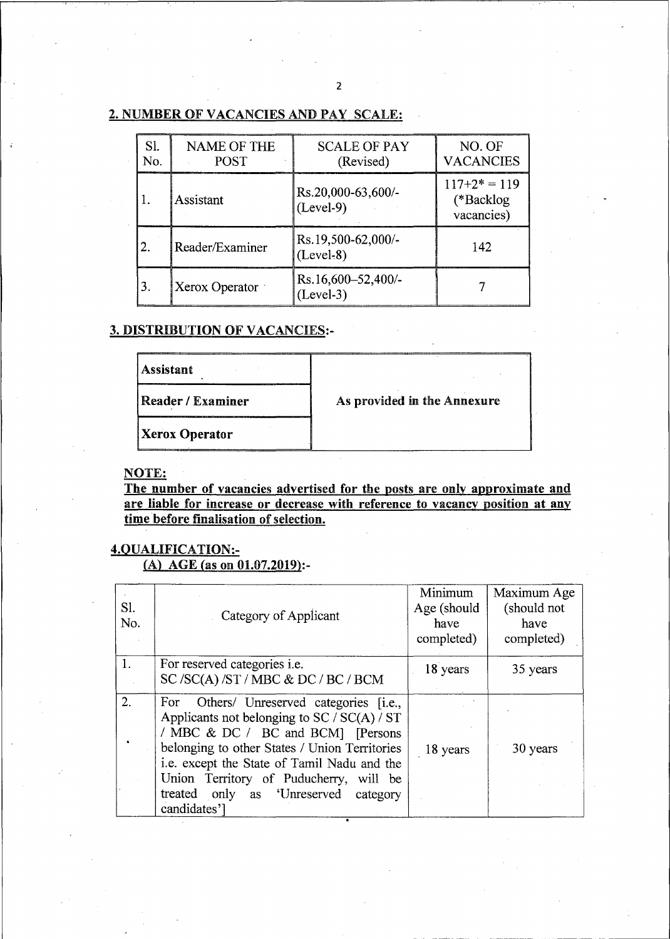# 2. NUMBER OF VACANCIES AND PAY SCALE:

| SI.<br>No. | <b>NAME OF THE</b><br><b>POST</b> | <b>SCALE OF PAY</b><br>(Revised)  | NO. OF<br><b>VACANCIES</b>                |
|------------|-----------------------------------|-----------------------------------|-------------------------------------------|
|            | Assistant                         | Rs.20,000-63,600/-<br>$(Level-9)$ | $117+2* = 119$<br>(*Backlog<br>vacancies) |
|            | Reader/Examiner                   | Rs.19,500-62,000/-<br>$(Level-8)$ | 142                                       |
| 3.         | Xerox Operator                    | Rs.16,600-52,400/-<br>$(Level-3)$ |                                           |

# 3. DISTRIBUTION OF VACANCIES:-

| <b>Assistant</b>         |                             |
|--------------------------|-----------------------------|
| <b>Reader / Examiner</b> | As provided in the Annexure |
| <b>Xerox Operator</b>    |                             |

# NOTE:

The number of vacancies advertised for the posts are only approximate and are liable for increase or decrease with reference to vacancy position at any time before finalisation of selection.

# 4.QUALIFICATION:-

(A) AGE (as on  $01.07.2019$ ):-

| Sl.<br>No. | Category of Applicant                                                                                                                                                                                                                                                                                                            | Minimum<br>Age (should<br>have<br>completed) | Maximum Age<br>(should not<br>have<br>completed) |
|------------|----------------------------------------------------------------------------------------------------------------------------------------------------------------------------------------------------------------------------------------------------------------------------------------------------------------------------------|----------------------------------------------|--------------------------------------------------|
|            | For reserved categories <i>i.e.</i><br>SC/SC(A)/ST/MBC & DC/BC/BCM                                                                                                                                                                                                                                                               | 18 years                                     | 35 years                                         |
| 2.         | For Others/ Unreserved categories [i.e.,<br>Applicants not belonging to $SC / SC(A) / ST$<br>/ MBC & DC / BC and BCM] [Persons<br>belonging to other States / Union Territories<br>i.e. except the State of Tamil Nadu and the<br>Union Territory of Puducherry, will be<br>treated only as 'Unreserved category<br>candidates'] | 18 years                                     | 30 years                                         |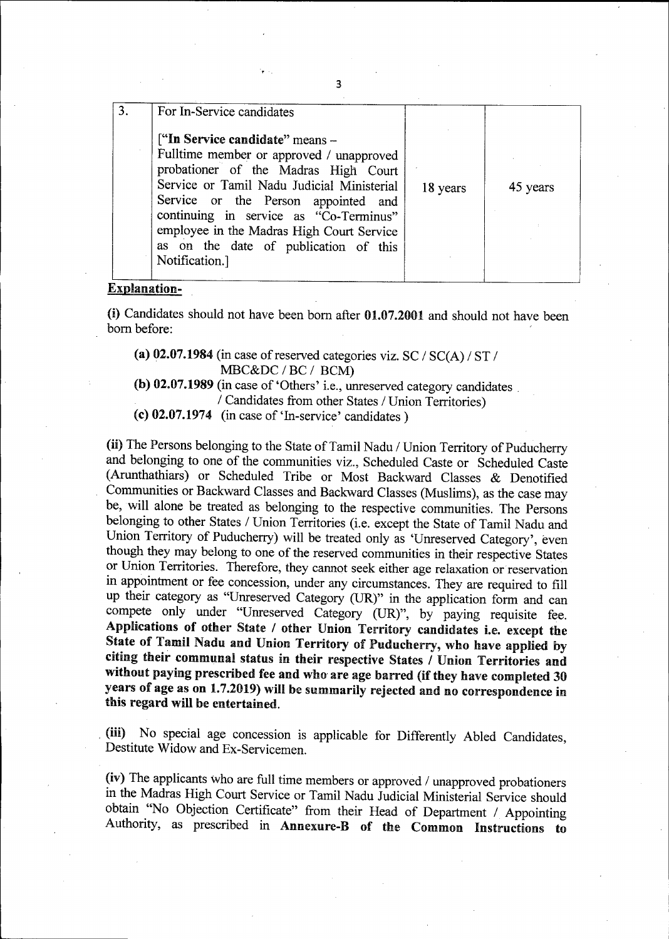| For In-Service candidates                                                                                                                                                                                                                                                                                                                                  |          |          |
|------------------------------------------------------------------------------------------------------------------------------------------------------------------------------------------------------------------------------------------------------------------------------------------------------------------------------------------------------------|----------|----------|
| ["In Service candidate" means -<br>Fulltime member or approved / unapproved<br>probationer of the Madras High Court<br>Service or Tamil Nadu Judicial Ministerial<br>Service or the Person appointed and<br>continuing in service as "Co-Terminus"<br>employee in the Madras High Court Service<br>as on the date of publication of this<br>Notification.] | 18 years | 45 years |

#### Explanation-

(i) Candidates should not have been born after 01.07.2001 and should not have been born before:

(a) 02.07.1984 (in case of reserved categories viz. SC /  $SC(A)$  /  $ST$  / MBC&DC / BC / BCM)

(b) 02.07.1989 (in case of 'Others' i.e., unreserved category candidates . / Candidates from other States / Union Territories)

(c) 02.07.1974 (in case of 'In-service' candidates)

(ii) The Persons belonging to the State of Tamil Nadu / Union Territory of Puducherry and belonging to one of the communities viz., Scheduled Caste or Scheduled Caste (Arunthathiars) or Scheduled Tribe or Most Backward Classes & Denotified Communities or Backward Classes and Backward Classes (Muslims), as the case may be, will alone be treated as belonging to the respective communities. The Persons belonging to other States / Union Territories (i.e. except the State of Tamil Nadu and Union Territory of Puducherry) will be treated only as 'Unreserved Category', even though they may belong to one of the reserved communities in their respective States or Union Territories. Therefore, they cannot seek either age relaxation or reservation in appointment or fee concession, under any circumstances. They are required to fill up their category as "Unreserved Category (UR)" in the application form and can compete only under "Unreserved Category (UR)", by paying requisite fee. Applications of other State / other Union Territory candidates i.e. except the State of Tamil Nadu and Union Territory of Puducberry, who have applied by citing their communal status in their respective States / Union Territories and without paying prescribed fee and who are age barred (if they have completed 30 years of age as on 1.7.2019) will be summarily rejected and no correspondence in this regard will be entertained.

. (iii) No special age concession is applicable for Differently Abled Candidates, Destitute Widow and Ex-Servicemen.

(iv) The applicants who are full time members or approved / unapproved probationers in the Madras High Court Service or Tamil Nadu Judicial Ministerial Service should obtain "No Objection Certificate" from their Head of Department / Appointing Authority, as prescribed in Annexure-B of the Common Instructions to

3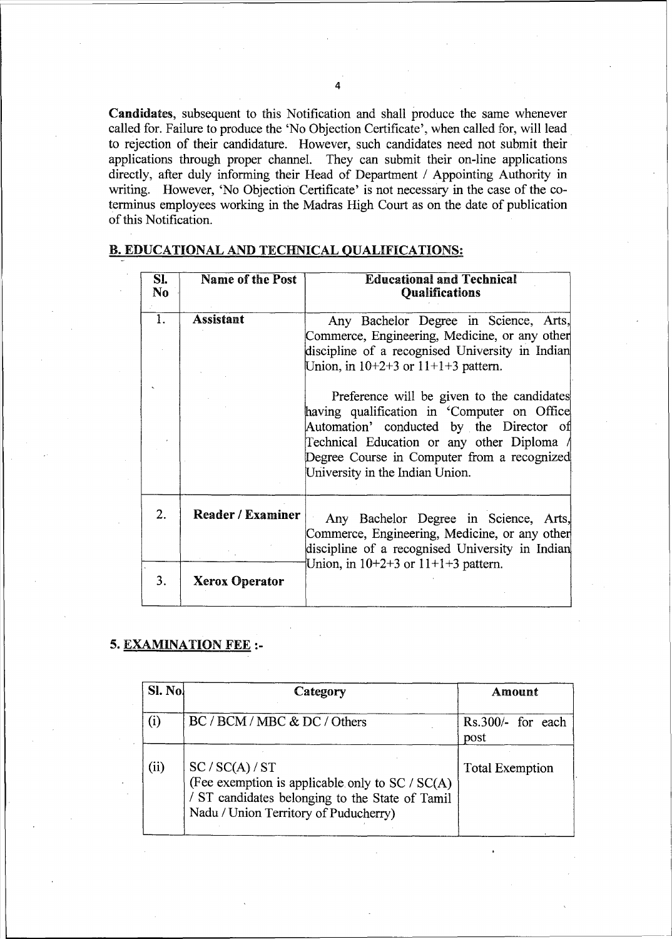Candidates, subsequent to this Notification and shall produce the same whenever called for. Failure to produce the 'No Objection Certificate', when called for, will lead to rejection of their candidature. However, such candidates need not submit their applications through proper channel. They can submit their on-line applications directly, after duly informing their Head of Department / Appointing Authority in writing. However, 'No Objection Certificate' is not necessary in the case of the coterminus employees working in the Madras High Court as on the date of publication of this Notification.

| SI.<br>No.       | <b>Name of the Post</b>  | <b>Educational and Technical</b><br><b>Qualifications</b>                                                                                                                                                                                                          |  |
|------------------|--------------------------|--------------------------------------------------------------------------------------------------------------------------------------------------------------------------------------------------------------------------------------------------------------------|--|
| $\overline{1}$ . | <b>Assistant</b>         | Any Bachelor Degree in Science, Arts,<br>Commerce, Engineering, Medicine, or any other<br>discipline of a recognised University in Indian<br>Union, in $10+2+3$ or $11+1+3$ pattern.                                                                               |  |
|                  |                          | Preference will be given to the candidates<br>having qualification in Computer on Office<br>Automation' conducted by the Director of<br>Technical Education or any other Diploma<br>Degree Course in Computer from a recognized<br>University in the Indian Union. |  |
| 2.               | <b>Reader / Examiner</b> | Any Bachelor Degree in Science, Arts,<br>Commerce, Engineering, Medicine, or any other<br>discipline of a recognised University in Indian<br>Union, in $10+2+3$ or $11+1+3$ pattern.                                                                               |  |
| 3.               | <b>Xerox Operator</b>    |                                                                                                                                                                                                                                                                    |  |

### B. EDUCATIONAL AND TECHNICAL QUALIFICATIONS:

# 5. EXAMINATION FEE:-

| $SI.$ No. | Category                                                                                                                                                       | Amount                    |
|-----------|----------------------------------------------------------------------------------------------------------------------------------------------------------------|---------------------------|
| $\rm(i)$  | BC / BCM / MBC & DC / Others                                                                                                                                   | Rs.300/- for each<br>post |
| (ii)      | SC / SC(A) / ST<br>(Fee exemption is applicable only to SC / SC(A)<br>/ ST candidates belonging to the State of Tamil<br>Nadu / Union Territory of Puducherry) | <b>Total Exemption</b>    |

4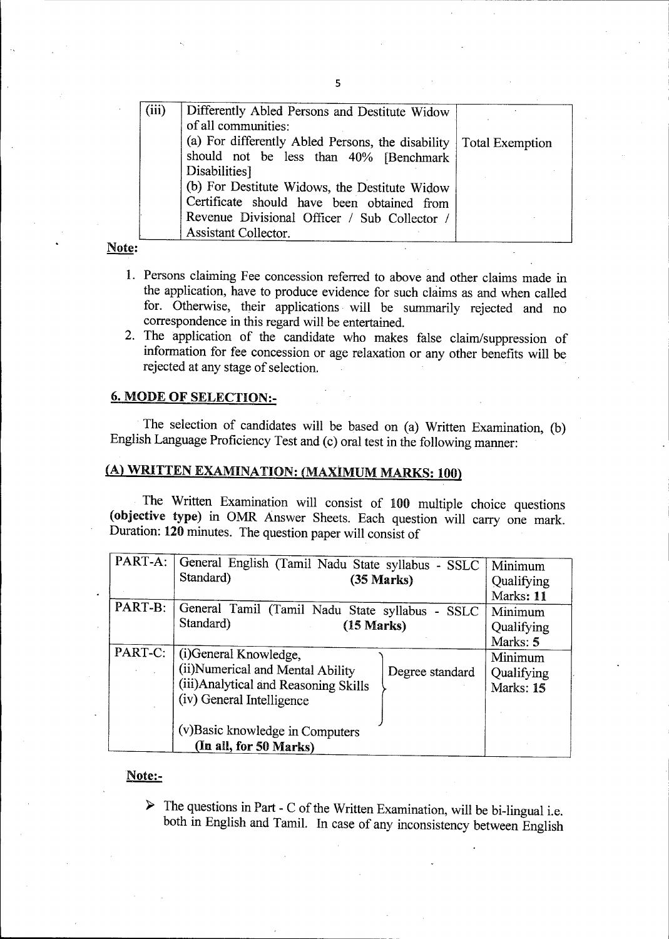| (iii) | Differently Abled Persons and Destitute Widow     |                 |
|-------|---------------------------------------------------|-----------------|
|       | of all communities:                               |                 |
|       | (a) For differently Abled Persons, the disability | Total Exemption |
|       | should not be less than 40% [Benchmark            |                 |
|       | Disabilities]                                     |                 |
|       | (b) For Destitute Widows, the Destitute Widow     |                 |
|       | Certificate should have been obtained from        |                 |
|       | Revenue Divisional Officer / Sub Collector /      |                 |
|       | <b>Assistant Collector.</b>                       |                 |

#### Note:

- 1. Persons claiming Fee concession referred to above and other claims made in the application, have to produce evidence for such claims as and when called for. Otherwise, their applications will be summarily rejected and no correspondence in this regard will be entertained.
- 2. The application of the candidate who makes false claim/suppression of information for fee concession or age relaxation or any other benefits will be rejected at any stage of selection.

# 6. MODE OF SELECTION:-

The selection of candidates will be based on (a) Written Examination, (b) English Language Proficiency Test and (c) oral test in the following manner:

# (A) WRITTEN EXAMINATION: (MAXIMUM MARKS: 100)

The Written Examination will consist of 100 multiple choice questions (objective type) in OMR Answer Sheets. Each question will carry one mark. Duration: 120 minutes. The question paper will consist of

|         | PART-A: General English (Tamil Nadu State syllabus - SSLC |                      | Minimum    |
|---------|-----------------------------------------------------------|----------------------|------------|
|         | Standard)                                                 | $(35 \text{ Marks})$ | Qualifying |
|         |                                                           |                      | Marks: 11  |
| PART-B: | General Tamil (Tamil Nadu State syllabus - SSLC           |                      | Minimum    |
|         | Standard)<br>$(15 \text{ Marks})$                         |                      | Qualifying |
|         |                                                           |                      | Marks: 5   |
| PART-C: | (i)General Knowledge,                                     |                      | Minimum    |
|         | (ii)Numerical and Mental Ability                          | Degree standard      | Qualifying |
|         | (iii) Analytical and Reasoning Skills                     |                      | Marks: 15  |
|         | (iv) General Intelligence                                 |                      |            |
|         |                                                           |                      |            |
|         | (v) Basic knowledge in Computers                          |                      |            |
|         | (In all, for 50 Marks)                                    |                      |            |

#### Note:-

 $\triangleright$  The questions in Part - C of the Written Examination, will be bi-lingual i.e. both in English and Tamil. In case of any inconsistency between English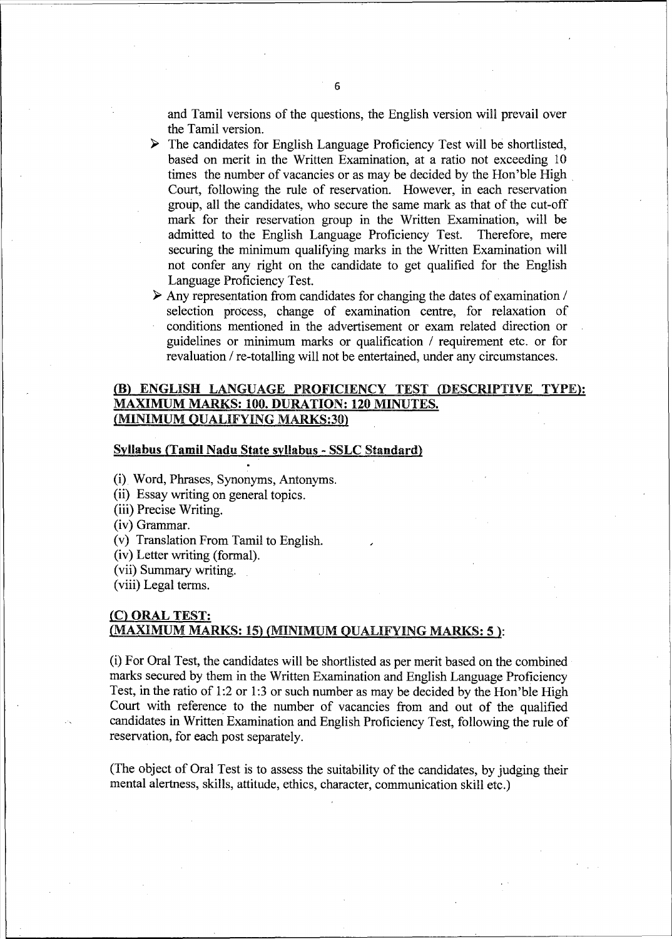and Tamil versions of the questions, the English version will prevail over the Tamil version.

- *»* The candidates for English Language Proficiency Test will be shortlisted, based on merit in the Written Examination, at a ratio not exceeding 10 times the number of vacancies or as may be decided by the Hon'ble High Court, following the rule of reservation. However, in each reservation group, all the candidates, who secure the same mark as that of the cut-off mark for their reservation group in the Written Examination, will be admitted to the English Language Proficiency Test. Therefore, mere securing the minimum qualifying marks in the Written Examination will not confer any right on the candidate to get qualified for the English Language Proficiency Test.
- *»* Any representation from candidates for changing the dates of examination <sup>I</sup> selection process, change of examination centre, for relaxation of conditions mentioned in the advertisement or exam related direction or guidelines or minimum marks or qualification / requirement etc. or for revaluation / re-totalling will not be entertained, under any circumstances.

### (B) ENGLISH LANGUAGE PROFICIENCY TEST (DESCRIPTIVE TYPE): MAXIMUM MARKS: 100. DURATION: 120 MINUTES. (MINIMUM QUALIFYING MARKS:30)

#### Syllabus (Tamil Nadu State syllabus - SSLC Standard)

(i) Word, Phrases, Synonyms, Antonyms.

(ii) Essay writing on general topics.

(iii) Precise Writing.

(iv) Grammar.

(v) Translation From Tamil to English.

(iv) Letter writing (formal).

(vii) Summary writing.

(viii) Legal terms.

#### (C) ORAL TEST: (MAXIMUM MARKS: 15) (MINIMUM QUALIFYING MARKS: 5 ):

(i) For Oral Test, the candidates will be shortlisted as per merit based on the combined marks secured by them in the Written Examination and English Language Proficiency Test, in the ratio of 1:2 or 1:3 or such number as may be decided by the Hon'ble High Court with reference to the number of vacancies from and out of the qualified candidates in Written Examination and English Proficiency Test, following the rule of reservation, for each post separately.

(The object of Oral Test is to assess the suitability of the candidates, by judging their mental alertness, skills, attitude, ethics, character, communication skill etc.)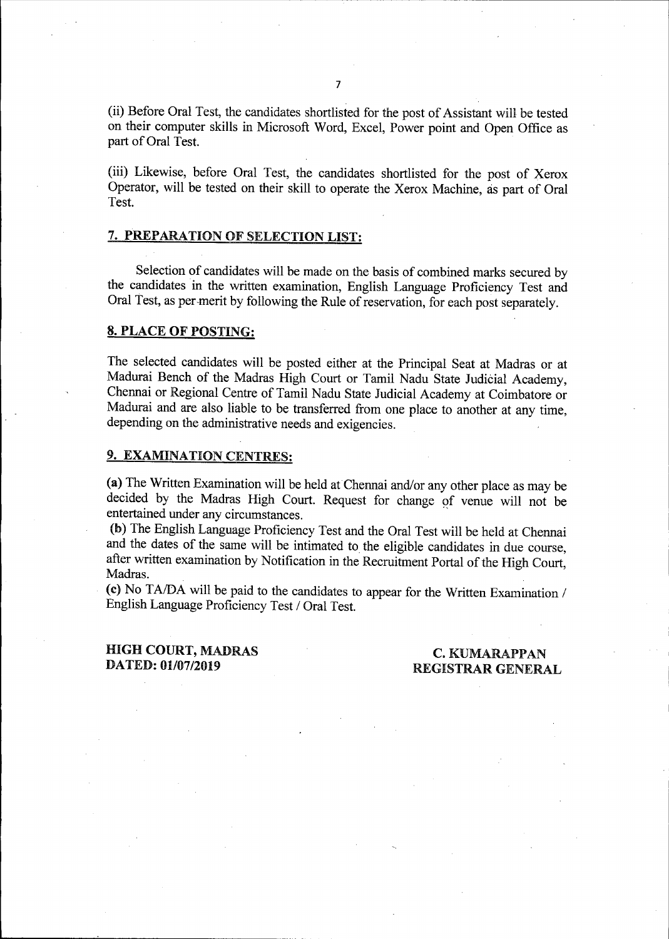(ii) Before Oral Test, the candidates shortlisted for the post of Assistant will be tested on their computer skills in Microsoft Word, Excel, Power point and Open Office as part of Oral Test.

(iii) Likewise, before Oral Test, the candidates shortlisted for the post of Xerox Operator, will be tested on their skill to operate the Xerox Machine, as part of Oral Test.

# 7. PREPARATION OF SELECTION LIST:

Selection of candidates will be made on the basis of combined marks secured by the candidates in the written examination, English Language Proficiency Test and Oral Test, as per-merit by following the Rule of reservation, for each post separately.

#### 8. PLACE OF POSTING:

The selected candidates will be posted either at the Principal Seat at Madras or at Madurai Bench of the Madras High Court or Tamil Nadu State Judicial Academy, Chennai or Regional Centre of Tamil Nadu State Judicial Academy at Coimbatore or Madurai and are also liable to be transferred from one place to another at any time, depending on the administrative needs and exigencies.

#### 9. EXAMINATION CENTRES:

(a) The Written Examination will be held at Chennai and/or any other place as may be decided by the Madras High Court. Request for change of venue will not be entertained under any circumstances.

(b) The English Language Proficiency Test and the Oral Test will be held at Chennai and the dates of the same will be intimated to the eligible candidates in due course, after written examination by Notification in the Recruitment Portal of the High Court, Madras.

(c) No TA/DA will be paid to the candidates to appear for the Written Examination / English Language Proficiency Test / Oral Test.

### HIGH COURT, MADRAS DATED: 01/07/2019

### C. KUMARAPPAN REGISTRAR GENERAL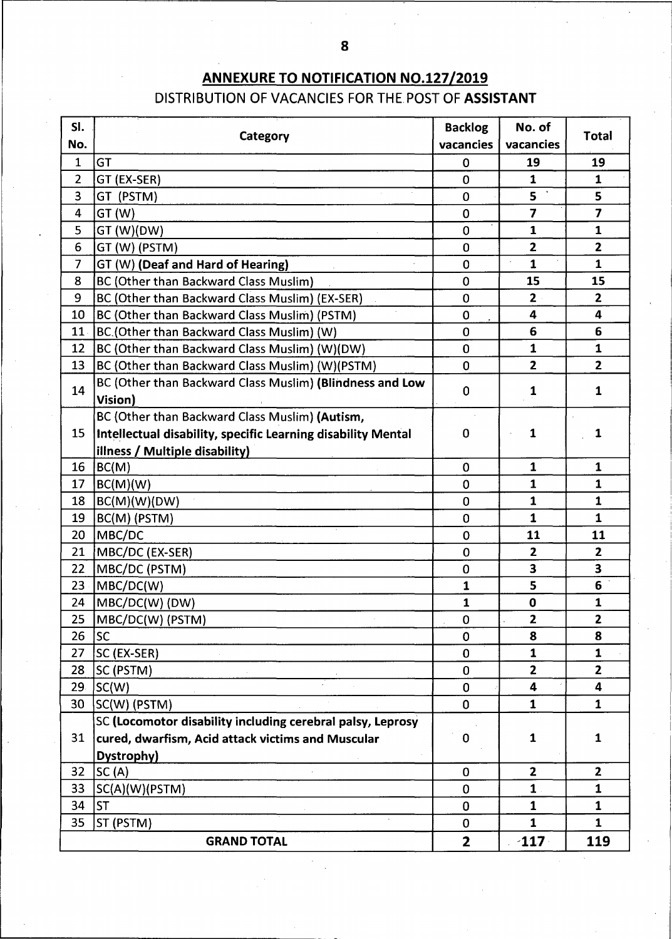# **ANNEXURE TO NOTIFICATION NO.127/2019** DISTRIBUTION OF VACANCIES FOR THE POST OF ASSISTANT

| SI.                            | Category                                                            | <b>Backlog</b><br>vacancies | No. of                  | <b>Total</b>            |
|--------------------------------|---------------------------------------------------------------------|-----------------------------|-------------------------|-------------------------|
| No.                            | GT                                                                  |                             | vacancies               |                         |
| $\mathbf{1}$<br>$\overline{2}$ |                                                                     | 0<br>$\overline{0}$         | 19<br>$\mathbf{1}$      | 19<br>$\mathbf{1}$      |
|                                | GT (EX-SER)                                                         |                             | 5                       |                         |
| 3                              | GT (PSTM)                                                           | $\mathbf 0$                 |                         | 5<br>$\overline{7}$     |
| 4                              | GT (W)                                                              | $\mathbf 0$                 | $\overline{\mathbf{7}}$ |                         |
| 5                              | GT (W)(DW)                                                          | $\overline{0}$              | $\mathbf{1}$            | $\mathbf{1}$            |
| 6                              | GT (W) (PSTM)                                                       | $\overline{0}$              | $\overline{2}$          | $\mathbf{2}$            |
| $\overline{\phantom{a}}$       | GT (W) (Deaf and Hard of Hearing)                                   | $\overline{0}$              | 1                       | $\mathbf{1}$            |
| 8                              | BC (Other than Backward Class Muslim)                               | $\overline{0}$              | 15                      | 15                      |
| 9                              | BC (Other than Backward Class Muslim) (EX-SER)                      | $\overline{0}$              | $\mathbf{2}$            | $\overline{2}$          |
| 10                             | BC (Other than Backward Class Muslim) (PSTM)                        | $\overline{0}$              | 4                       | 4                       |
| 11.                            | BC.(Other than Backward Class Muslim) (W)                           | $\overline{0}$              | 6                       | 6                       |
| 12                             | BC (Other than Backward Class Muslim) (W)(DW)                       | $\mathbf 0$                 | $\mathbf{1}$            | 1                       |
| 13                             | BC (Other than Backward Class Muslim) (W)(PSTM)                     | $\overline{0}$              | $\overline{2}$          | $\overline{2}$          |
| 14                             | BC (Other than Backward Class Muslim) (Blindness and Low<br>Vision) | $\mathbf 0$                 | 1                       | 1                       |
|                                | BC (Other than Backward Class Muslim) (Autism,                      |                             |                         |                         |
| 15                             | Intellectual disability, specific Learning disability Mental        | $\mathbf 0$                 | $\mathbf{1}$            | 1                       |
|                                | illness / Multiple disability)                                      |                             |                         |                         |
| 16                             | BC(M)                                                               | $\mathbf 0$                 | $\mathbf{1}$            | $\mathbf{1}$            |
| 17                             | BC(M)(W)                                                            | $\mathbf 0$                 | $\mathbf{1}$            | 1                       |
| 18                             | BC(M)(W)(DW)                                                        | $\mathbf 0$                 | 1                       | 1                       |
| 19                             | BC(M) (PSTM)                                                        | 0                           | $\mathbf{1}$            | 1                       |
| 20                             | MBC/DC                                                              | $\mathbf 0$                 | 11                      | 11                      |
| 21                             | MBC/DC (EX-SER)                                                     | $\mathbf 0$                 | $\overline{2}$          | $\overline{2}$          |
| 22                             | MBC/DC (PSTM)                                                       | 0                           | $\overline{\mathbf{3}}$ | $\overline{\mathbf{3}}$ |
| 23                             | MBC/DC(W)                                                           | $\mathbf{1}$                | 5                       | 6                       |
| 24                             | MBC/DC(W) (DW)                                                      | $\mathbf{1}$                | $\mathbf 0$             | $\mathbf{1}$            |
| 25 <sub>1</sub>                | MBC/DC(W) (PSTM)                                                    | $\pmb{0}$                   | $\mathbf{2}$            | $\mathbf{2}$            |
| 26                             | <b>SC</b>                                                           | $\mathbf 0$                 | 8                       | 8                       |
| 27                             | SC (EX-SER)                                                         | $\mathbf 0$                 | 1                       | $\mathbf{1}$            |
| 28                             | SC (PSTM)                                                           | $\mathbf 0$                 | $\overline{2}$          | $\overline{2}$          |
| 29.                            | SC(W)                                                               | $\mathbf 0$                 | 4                       | 4                       |
| 30                             | SC(W) (PSTM)                                                        | $\mathbf 0$                 | $\mathbf{1}$            | $\mathbf{1}$            |
|                                | SC (Locomotor disability including cerebral palsy, Leprosy          |                             |                         |                         |
| 31                             | cured, dwarfism, Acid attack victims and Muscular                   | 0                           | $\mathbf{1}$            | $\mathbf{1}$            |
|                                | Dystrophy)                                                          |                             |                         |                         |
| 32 <sub>2</sub>                | SC(A)                                                               | $\mathbf 0$                 | $\overline{2}$          | $\overline{2}$          |
| 33                             | SC(A)(W)(PSTM)                                                      | 0                           | $\mathbf{1}$ .          | $\mathbf{1}$            |
| 34                             | <b>ST</b>                                                           | 0                           | $\mathbf{1}$            | $\mathbf{1}$            |
| 35                             | ST (PSTM)                                                           | $\mathbf 0$                 | $\mathbf{1}$            | $\mathbf{1}$            |
|                                | <b>GRAND TOTAL</b>                                                  | $\overline{2}$              | $-117$                  | 119                     |

'---------------------------------- -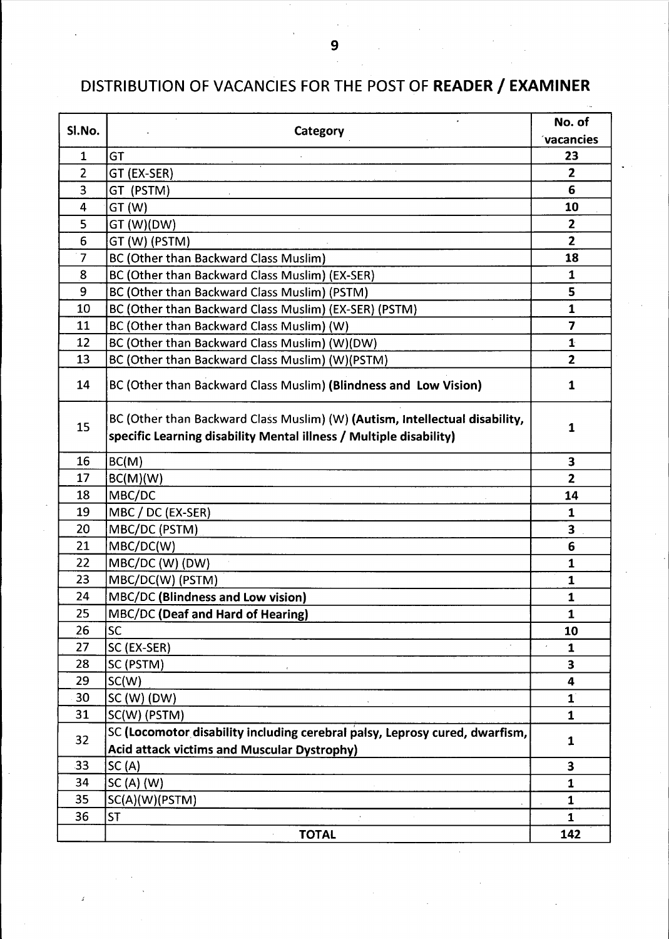# DISTRIBUTION OF VACANCIES FOR THE POST OF READER/ EXAMINER

| $\mathbf{1}$<br>GT<br>23<br>2<br>$\overline{2}$<br>GT (EX-SER)<br>3<br>6<br>GT (PSTM)<br>GT (W)<br>4<br>10<br>$\mathbf{z}$<br>GT (W)(DW)<br>5<br>6<br>$\mathbf{2}$<br>GT (W) (PSTM)<br>7<br>BC (Other than Backward Class Muslim)<br>18<br>BC (Other than Backward Class Muslim) (EX-SER)<br>8<br>1<br>9<br>BC (Other than Backward Class Muslim) (PSTM)<br>5<br>10<br>BC (Other than Backward Class Muslim) (EX-SER) (PSTM)<br>1<br>BC (Other than Backward Class Muslim) (W)<br>$\overline{7}$<br>11<br>12<br>BC (Other than Backward Class Muslim) (W)(DW)<br>$\mathbf{1}$<br>$\overline{2}$<br>13<br>BC (Other than Backward Class Muslim) (W)(PSTM)<br>14<br>BC (Other than Backward Class Muslim) (Blindness and Low Vision)<br>$\mathbf{1}$<br>BC (Other than Backward Class Muslim) (W) (Autism, Intellectual disability,<br>15<br>1<br>specific Learning disability Mental illness / Multiple disability)<br>16<br>3<br>BC(M)<br>17<br>BC(M)(W)<br>$\overline{2}$<br>18<br>MBC/DC<br>14<br>MBC / DC (EX-SER)<br>19<br>1<br>3<br>20<br>MBC/DC (PSTM)<br>21<br>MBC/DC(W)<br>6<br>22<br>MBC/DC (W) (DW)<br>$\mathbf{1}$<br>23<br>MBC/DC(W) (PSTM)<br>$\mathbf{1}$<br>MBC/DC (Blindness and Low vision)<br>24<br>1<br>25<br>MBC/DC (Deaf and Hard of Hearing)<br>1<br>26<br><b>SC</b><br>10<br>27<br>SC (EX-SER)<br>$\mathbf{1}$<br>28<br>SC (PSTM)<br>3<br>29<br>SC(W)<br>4<br>$\mathbf{1}^{\mathsf{T}}$<br>30<br>$SC(W)$ (DW)<br>31<br>SC(W) (PSTM)<br>$\mathbf{1}$<br>SC (Locomotor disability including cerebral palsy, Leprosy cured, dwarfism,<br>32<br>1<br><b>Acid attack victims and Muscular Dystrophy)</b><br>33<br>SC(A)<br>3<br>34<br>$SC(A)$ (W)<br>$\mathbf{1}$<br>35<br>SC(A)(W)(PSTM)<br>1<br>36<br><b>ST</b><br>$\overline{\mathbf{1}}$<br><b>TOTAL</b><br>142 | Sl.No. | Category | No. of           |
|---------------------------------------------------------------------------------------------------------------------------------------------------------------------------------------------------------------------------------------------------------------------------------------------------------------------------------------------------------------------------------------------------------------------------------------------------------------------------------------------------------------------------------------------------------------------------------------------------------------------------------------------------------------------------------------------------------------------------------------------------------------------------------------------------------------------------------------------------------------------------------------------------------------------------------------------------------------------------------------------------------------------------------------------------------------------------------------------------------------------------------------------------------------------------------------------------------------------------------------------------------------------------------------------------------------------------------------------------------------------------------------------------------------------------------------------------------------------------------------------------------------------------------------------------------------------------------------------------------------------------------------------------------------------------------------------------------------------------------------------------------------------------------------|--------|----------|------------------|
|                                                                                                                                                                                                                                                                                                                                                                                                                                                                                                                                                                                                                                                                                                                                                                                                                                                                                                                                                                                                                                                                                                                                                                                                                                                                                                                                                                                                                                                                                                                                                                                                                                                                                                                                                                                       |        |          | <b>vacancies</b> |
|                                                                                                                                                                                                                                                                                                                                                                                                                                                                                                                                                                                                                                                                                                                                                                                                                                                                                                                                                                                                                                                                                                                                                                                                                                                                                                                                                                                                                                                                                                                                                                                                                                                                                                                                                                                       |        |          |                  |
|                                                                                                                                                                                                                                                                                                                                                                                                                                                                                                                                                                                                                                                                                                                                                                                                                                                                                                                                                                                                                                                                                                                                                                                                                                                                                                                                                                                                                                                                                                                                                                                                                                                                                                                                                                                       |        |          |                  |
|                                                                                                                                                                                                                                                                                                                                                                                                                                                                                                                                                                                                                                                                                                                                                                                                                                                                                                                                                                                                                                                                                                                                                                                                                                                                                                                                                                                                                                                                                                                                                                                                                                                                                                                                                                                       |        |          |                  |
|                                                                                                                                                                                                                                                                                                                                                                                                                                                                                                                                                                                                                                                                                                                                                                                                                                                                                                                                                                                                                                                                                                                                                                                                                                                                                                                                                                                                                                                                                                                                                                                                                                                                                                                                                                                       |        |          |                  |
|                                                                                                                                                                                                                                                                                                                                                                                                                                                                                                                                                                                                                                                                                                                                                                                                                                                                                                                                                                                                                                                                                                                                                                                                                                                                                                                                                                                                                                                                                                                                                                                                                                                                                                                                                                                       |        |          |                  |
|                                                                                                                                                                                                                                                                                                                                                                                                                                                                                                                                                                                                                                                                                                                                                                                                                                                                                                                                                                                                                                                                                                                                                                                                                                                                                                                                                                                                                                                                                                                                                                                                                                                                                                                                                                                       |        |          |                  |
|                                                                                                                                                                                                                                                                                                                                                                                                                                                                                                                                                                                                                                                                                                                                                                                                                                                                                                                                                                                                                                                                                                                                                                                                                                                                                                                                                                                                                                                                                                                                                                                                                                                                                                                                                                                       |        |          |                  |
|                                                                                                                                                                                                                                                                                                                                                                                                                                                                                                                                                                                                                                                                                                                                                                                                                                                                                                                                                                                                                                                                                                                                                                                                                                                                                                                                                                                                                                                                                                                                                                                                                                                                                                                                                                                       |        |          |                  |
|                                                                                                                                                                                                                                                                                                                                                                                                                                                                                                                                                                                                                                                                                                                                                                                                                                                                                                                                                                                                                                                                                                                                                                                                                                                                                                                                                                                                                                                                                                                                                                                                                                                                                                                                                                                       |        |          |                  |
|                                                                                                                                                                                                                                                                                                                                                                                                                                                                                                                                                                                                                                                                                                                                                                                                                                                                                                                                                                                                                                                                                                                                                                                                                                                                                                                                                                                                                                                                                                                                                                                                                                                                                                                                                                                       |        |          |                  |
|                                                                                                                                                                                                                                                                                                                                                                                                                                                                                                                                                                                                                                                                                                                                                                                                                                                                                                                                                                                                                                                                                                                                                                                                                                                                                                                                                                                                                                                                                                                                                                                                                                                                                                                                                                                       |        |          |                  |
|                                                                                                                                                                                                                                                                                                                                                                                                                                                                                                                                                                                                                                                                                                                                                                                                                                                                                                                                                                                                                                                                                                                                                                                                                                                                                                                                                                                                                                                                                                                                                                                                                                                                                                                                                                                       |        |          |                  |
|                                                                                                                                                                                                                                                                                                                                                                                                                                                                                                                                                                                                                                                                                                                                                                                                                                                                                                                                                                                                                                                                                                                                                                                                                                                                                                                                                                                                                                                                                                                                                                                                                                                                                                                                                                                       |        |          |                  |
|                                                                                                                                                                                                                                                                                                                                                                                                                                                                                                                                                                                                                                                                                                                                                                                                                                                                                                                                                                                                                                                                                                                                                                                                                                                                                                                                                                                                                                                                                                                                                                                                                                                                                                                                                                                       |        |          |                  |
|                                                                                                                                                                                                                                                                                                                                                                                                                                                                                                                                                                                                                                                                                                                                                                                                                                                                                                                                                                                                                                                                                                                                                                                                                                                                                                                                                                                                                                                                                                                                                                                                                                                                                                                                                                                       |        |          |                  |
|                                                                                                                                                                                                                                                                                                                                                                                                                                                                                                                                                                                                                                                                                                                                                                                                                                                                                                                                                                                                                                                                                                                                                                                                                                                                                                                                                                                                                                                                                                                                                                                                                                                                                                                                                                                       |        |          |                  |
|                                                                                                                                                                                                                                                                                                                                                                                                                                                                                                                                                                                                                                                                                                                                                                                                                                                                                                                                                                                                                                                                                                                                                                                                                                                                                                                                                                                                                                                                                                                                                                                                                                                                                                                                                                                       |        |          |                  |
|                                                                                                                                                                                                                                                                                                                                                                                                                                                                                                                                                                                                                                                                                                                                                                                                                                                                                                                                                                                                                                                                                                                                                                                                                                                                                                                                                                                                                                                                                                                                                                                                                                                                                                                                                                                       |        |          |                  |
|                                                                                                                                                                                                                                                                                                                                                                                                                                                                                                                                                                                                                                                                                                                                                                                                                                                                                                                                                                                                                                                                                                                                                                                                                                                                                                                                                                                                                                                                                                                                                                                                                                                                                                                                                                                       |        |          |                  |
|                                                                                                                                                                                                                                                                                                                                                                                                                                                                                                                                                                                                                                                                                                                                                                                                                                                                                                                                                                                                                                                                                                                                                                                                                                                                                                                                                                                                                                                                                                                                                                                                                                                                                                                                                                                       |        |          |                  |
|                                                                                                                                                                                                                                                                                                                                                                                                                                                                                                                                                                                                                                                                                                                                                                                                                                                                                                                                                                                                                                                                                                                                                                                                                                                                                                                                                                                                                                                                                                                                                                                                                                                                                                                                                                                       |        |          |                  |
|                                                                                                                                                                                                                                                                                                                                                                                                                                                                                                                                                                                                                                                                                                                                                                                                                                                                                                                                                                                                                                                                                                                                                                                                                                                                                                                                                                                                                                                                                                                                                                                                                                                                                                                                                                                       |        |          |                  |
|                                                                                                                                                                                                                                                                                                                                                                                                                                                                                                                                                                                                                                                                                                                                                                                                                                                                                                                                                                                                                                                                                                                                                                                                                                                                                                                                                                                                                                                                                                                                                                                                                                                                                                                                                                                       |        |          |                  |
|                                                                                                                                                                                                                                                                                                                                                                                                                                                                                                                                                                                                                                                                                                                                                                                                                                                                                                                                                                                                                                                                                                                                                                                                                                                                                                                                                                                                                                                                                                                                                                                                                                                                                                                                                                                       |        |          |                  |
|                                                                                                                                                                                                                                                                                                                                                                                                                                                                                                                                                                                                                                                                                                                                                                                                                                                                                                                                                                                                                                                                                                                                                                                                                                                                                                                                                                                                                                                                                                                                                                                                                                                                                                                                                                                       |        |          |                  |
|                                                                                                                                                                                                                                                                                                                                                                                                                                                                                                                                                                                                                                                                                                                                                                                                                                                                                                                                                                                                                                                                                                                                                                                                                                                                                                                                                                                                                                                                                                                                                                                                                                                                                                                                                                                       |        |          |                  |
|                                                                                                                                                                                                                                                                                                                                                                                                                                                                                                                                                                                                                                                                                                                                                                                                                                                                                                                                                                                                                                                                                                                                                                                                                                                                                                                                                                                                                                                                                                                                                                                                                                                                                                                                                                                       |        |          |                  |
|                                                                                                                                                                                                                                                                                                                                                                                                                                                                                                                                                                                                                                                                                                                                                                                                                                                                                                                                                                                                                                                                                                                                                                                                                                                                                                                                                                                                                                                                                                                                                                                                                                                                                                                                                                                       |        |          |                  |
|                                                                                                                                                                                                                                                                                                                                                                                                                                                                                                                                                                                                                                                                                                                                                                                                                                                                                                                                                                                                                                                                                                                                                                                                                                                                                                                                                                                                                                                                                                                                                                                                                                                                                                                                                                                       |        |          |                  |
|                                                                                                                                                                                                                                                                                                                                                                                                                                                                                                                                                                                                                                                                                                                                                                                                                                                                                                                                                                                                                                                                                                                                                                                                                                                                                                                                                                                                                                                                                                                                                                                                                                                                                                                                                                                       |        |          |                  |
|                                                                                                                                                                                                                                                                                                                                                                                                                                                                                                                                                                                                                                                                                                                                                                                                                                                                                                                                                                                                                                                                                                                                                                                                                                                                                                                                                                                                                                                                                                                                                                                                                                                                                                                                                                                       |        |          |                  |
|                                                                                                                                                                                                                                                                                                                                                                                                                                                                                                                                                                                                                                                                                                                                                                                                                                                                                                                                                                                                                                                                                                                                                                                                                                                                                                                                                                                                                                                                                                                                                                                                                                                                                                                                                                                       |        |          |                  |
|                                                                                                                                                                                                                                                                                                                                                                                                                                                                                                                                                                                                                                                                                                                                                                                                                                                                                                                                                                                                                                                                                                                                                                                                                                                                                                                                                                                                                                                                                                                                                                                                                                                                                                                                                                                       |        |          |                  |
|                                                                                                                                                                                                                                                                                                                                                                                                                                                                                                                                                                                                                                                                                                                                                                                                                                                                                                                                                                                                                                                                                                                                                                                                                                                                                                                                                                                                                                                                                                                                                                                                                                                                                                                                                                                       |        |          |                  |
|                                                                                                                                                                                                                                                                                                                                                                                                                                                                                                                                                                                                                                                                                                                                                                                                                                                                                                                                                                                                                                                                                                                                                                                                                                                                                                                                                                                                                                                                                                                                                                                                                                                                                                                                                                                       |        |          |                  |
|                                                                                                                                                                                                                                                                                                                                                                                                                                                                                                                                                                                                                                                                                                                                                                                                                                                                                                                                                                                                                                                                                                                                                                                                                                                                                                                                                                                                                                                                                                                                                                                                                                                                                                                                                                                       |        |          |                  |
|                                                                                                                                                                                                                                                                                                                                                                                                                                                                                                                                                                                                                                                                                                                                                                                                                                                                                                                                                                                                                                                                                                                                                                                                                                                                                                                                                                                                                                                                                                                                                                                                                                                                                                                                                                                       |        |          |                  |